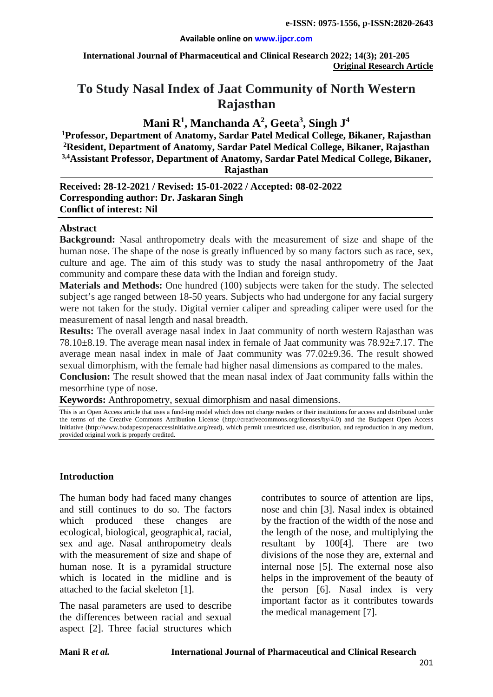#### **Available online on [www.ijpcr.com](http://www.ijpcr.com/)**

**International Journal of Pharmaceutical and Clinical Research 2022; 14(3); 201-205 Original Research Article**

# **To Study Nasal Index of Jaat Community of North Western Rajasthan**

## **Mani R1 , Manchanda A2 , Geeta<sup>3</sup> , Singh J<sup>4</sup>**

**1 Professor, Department of Anatomy, Sardar Patel Medical College, Bikaner, Rajasthan 2Resident, Department of Anatomy, Sardar Patel Medical College, Bikaner, Rajasthan 3,4Assistant Professor, Department of Anatomy, Sardar Patel Medical College, Bikaner, Rajasthan**

**Received: 28-12-2021 / Revised: 15-01-2022 / Accepted: 08-02-2022 Corresponding author: Dr. Jaskaran Singh Conflict of interest: Nil**

#### **Abstract**

**Background:** Nasal anthropometry deals with the measurement of size and shape of the human nose. The shape of the nose is greatly influenced by so many factors such as race, sex, culture and age. The aim of this study was to study the nasal anthropometry of the Jaat community and compare these data with the Indian and foreign study.

**Materials and Methods:** One hundred (100) subjects were taken for the study. The selected subject's age ranged between 18-50 years. Subjects who had undergone for any facial surgery were not taken for the study. Digital vernier caliper and spreading caliper were used for the measurement of nasal length and nasal breadth.

**Results:** The overall average nasal index in Jaat community of north western Rajasthan was 78.10±8.19. The average mean nasal index in female of Jaat community was 78.92±7.17. The average mean nasal index in male of Jaat community was 77.02±9.36. The result showed sexual dimorphism, with the female had higher nasal dimensions as compared to the males.

**Conclusion:** The result showed that the mean nasal index of Jaat community falls within the mesorrhine type of nose.

**Keywords:** Anthropometry, sexual dimorphism and nasal dimensions.

This is an Open Access article that uses a fund-ing model which does not charge readers or their institutions for access and distributed under the terms of the Creative Commons Attribution License (http://creativecommons.org/licenses/by/4.0) and the Budapest Open Access Initiative (http://www.budapestopenaccessinitiative.org/read), which permit unrestricted use, distribution, and reproduction in any medium, provided original work is properly credited.

### **Introduction**

The human body had faced many changes and still continues to do so. The factors which produced these changes are ecological, biological, geographical, racial, sex and age. Nasal anthropometry deals with the measurement of size and shape of human nose. It is a pyramidal structure which is located in the midline and is attached to the facial skeleton [1].

The nasal parameters are used to describe the differences between racial and sexual aspect [2]. Three facial structures which contributes to source of attention are lips, nose and chin [3]. Nasal index is obtained by the fraction of the width of the nose and the length of the nose, and multiplying the resultant by 100[4]. There are two divisions of the nose they are, external and internal nose [5]. The external nose also helps in the improvement of the beauty of the person [6]. Nasal index is very important factor as it contributes towards the medical management [7].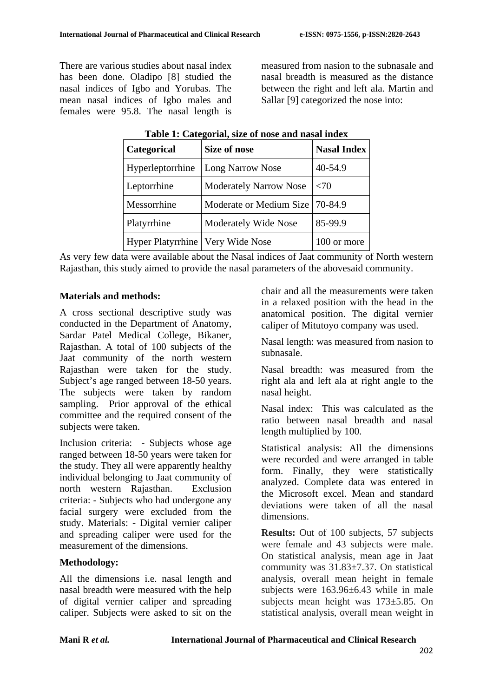There are various studies about nasal index has been done. Oladipo [8] studied the nasal indices of Igbo and Yorubas. The mean nasal indices of Igbo males and females were 95.8. The nasal length is measured from nasion to the subnasale and nasal breadth is measured as the distance between the right and left ala. Martin and Sallar [9] categorized the nose into:

| Categorical                        | <b>Size of nose</b>               | <b>Nasal Index</b> |
|------------------------------------|-----------------------------------|--------------------|
| Hyperleptorrhine                   | <b>Long Narrow Nose</b>           | 40-54.9            |
| Leptorrhine                        | <b>Moderately Narrow Nose</b>     | <70                |
| Messorrhine                        | Moderate or Medium Size   70-84.9 |                    |
| Platyrrhine                        | Moderately Wide Nose              | 85-99.9            |
| Hyper Platyrrhine   Very Wide Nose |                                   | 100 or more        |

| Table 1: Categorial, size of nose and nasal index |  |  |  |  |  |
|---------------------------------------------------|--|--|--|--|--|
|---------------------------------------------------|--|--|--|--|--|

As very few data were available about the Nasal indices of Jaat community of North western Rajasthan, this study aimed to provide the nasal parameters of the abovesaid community.

### **Materials and methods:**

A cross sectional descriptive study was conducted in the Department of Anatomy, Sardar Patel Medical College, Bikaner, Rajasthan. A total of 100 subjects of the Jaat community of the north western Rajasthan were taken for the study. Subject's age ranged between 18-50 years. The subjects were taken by random sampling. Prior approval of the ethical committee and the required consent of the subjects were taken.

Inclusion criteria: - Subjects whose age ranged between 18-50 years were taken for the study. They all were apparently healthy individual belonging to Jaat community of north western Rajasthan. Exclusion criteria: - Subjects who had undergone any facial surgery were excluded from the study. Materials: - Digital vernier caliper and spreading caliper were used for the measurement of the dimensions.

### **Methodology:**

All the dimensions i.e. nasal length and nasal breadth were measured with the help of digital vernier caliper and spreading caliper. Subjects were asked to sit on the chair and all the measurements were taken in a relaxed position with the head in the anatomical position. The digital vernier caliper of Mitutoyo company was used.

Nasal length: was measured from nasion to subnasale.

Nasal breadth: was measured from the right ala and left ala at right angle to the nasal height.

Nasal index: This was calculated as the ratio between nasal breadth and nasal length multiplied by 100.

Statistical analysis: All the dimensions were recorded and were arranged in table form. Finally, they were statistically analyzed. Complete data was entered in the Microsoft excel. Mean and standard deviations were taken of all the nasal dimensions.

**Results:** Out of 100 subjects, 57 subjects were female and 43 subjects were male. On statistical analysis, mean age in Jaat community was 31.83±7.37. On statistical analysis, overall mean height in female subjects were 163.96±6.43 while in male subjects mean height was 173±5.85. On statistical analysis, overall mean weight in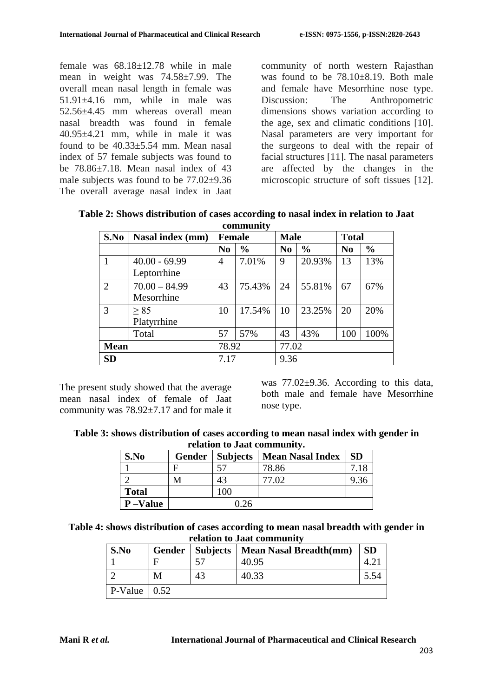female was 68.18±12.78 while in male mean in weight was 74.58±7.99. The overall mean nasal length in female was  $51.91 \pm 4.16$  mm, while in male was 52.56±4.45 mm whereas overall mean nasal breadth was found in female  $40.95 \pm 4.21$  mm, while in male it was found to be  $40.33 \pm 5.54$  mm. Mean nasal index of 57 female subjects was found to be 78.86±7.18. Mean nasal index of 43 male subjects was found to be 77.02±9.36 The overall average nasal index in Jaat community of north western Rajasthan was found to be 78.10+8.19. Both male and female have Mesorrhine nose type. Discussion: The Anthropometric dimensions shows variation according to the age, sex and climatic conditions [10]. Nasal parameters are very important for the surgeons to deal with the repair of facial structures [11]. The nasal parameters are affected by the changes in the microscopic structure of soft tissues [12].

| S.No           | Nasal index (mm) | <b>Female</b>  |               | <b>Male</b>    |               | <b>Total</b>   |               |
|----------------|------------------|----------------|---------------|----------------|---------------|----------------|---------------|
|                |                  | N <sub>0</sub> | $\frac{0}{0}$ | N <sub>0</sub> | $\frac{0}{0}$ | N <sub>0</sub> | $\frac{6}{6}$ |
|                | $40.00 - 69.99$  | 4              | 7.01%         | 9              | 20.93%        | 13             | 13%           |
|                | Leptorrhine      |                |               |                |               |                |               |
| $\overline{2}$ | $70.00 - 84.99$  | 43             | 75.43%        | 24             | 55.81%        | 67             | 67%           |
|                | Mesorrhine       |                |               |                |               |                |               |
| 3              | > 85             | 10             | 17.54%        | 10             | 23.25%        | 20             | 20%           |
|                | Platyrrhine      |                |               |                |               |                |               |
|                | Total            | 57             | 57%           | 43             | 43%           | 100            | 100%          |
| <b>Mean</b>    |                  | 78.92<br>77.02 |               |                |               |                |               |
| SD             |                  | 7.17           |               | 9.36           |               |                |               |

**Table 2: Shows distribution of cases according to nasal index in relation to Jaat community**

The present study showed that the average mean nasal index of female of Jaat community was 78.92±7.17 and for male it was 77.02 $\pm$ 9.36. According to this data, both male and female have Mesorrhine nose type.

| Table 3: shows distribution of cases according to mean nasal index with gender in |
|-----------------------------------------------------------------------------------|
| relation to Jaat community.                                                       |

| S.No            | Gender | Subjects | <b>Mean Nasal Index</b> | <b>SD</b> |
|-----------------|--------|----------|-------------------------|-----------|
|                 |        |          | 78.86                   |           |
|                 | M      | 43       | 77.02                   | 9.36      |
| <b>Total</b>    |        | 100      |                         |           |
| <b>P</b> -Value |        | .26      |                         |           |

**Table 4: shows distribution of cases according to mean nasal breadth with gender in relation to Jaat community**

| S.No                         | Gender |    | Subjects   Mean Nasal Breadth(mm) | <b>SD</b> |
|------------------------------|--------|----|-----------------------------------|-----------|
|                              |        |    | 40.95                             |           |
|                              | M      | 43 | 40.33                             |           |
| $\vert$ P-Value $\vert$ 0.52 |        |    |                                   |           |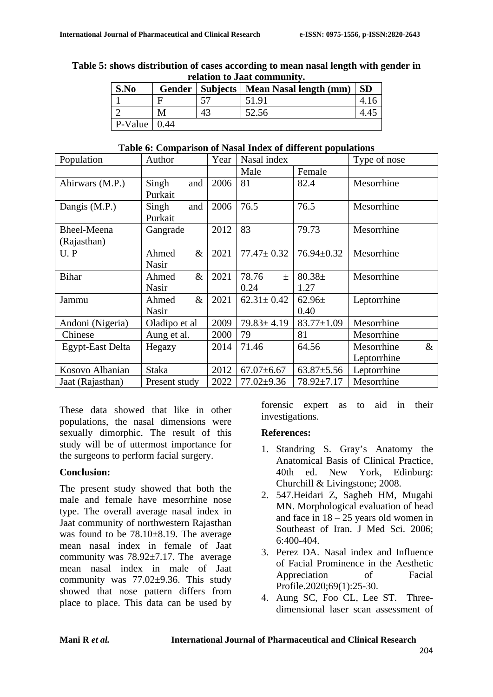|                             |      |  |  | Table 5: shows distribution of cases according to mean nasal length with gender in |  |
|-----------------------------|------|--|--|------------------------------------------------------------------------------------|--|
| relation to Jaat community. |      |  |  |                                                                                    |  |
|                             | S.No |  |  | Gender   Subjects   Mean Nasal length (mm)   SD                                    |  |

| <b>S.No</b>                  |    | Gender   Subjects   Mean Nasal length (mm)   SD |  |
|------------------------------|----|-------------------------------------------------|--|
|                              |    | 51.91                                           |  |
|                              | 43 | 52.56                                           |  |
| $\vert$ P-Value $\vert$ 0.44 |    |                                                 |  |

#### **Table 6: Comparison of Nasal Index of different populations**

| Population         | Author        | Year | Nasal index      |                  | Type of nose       |
|--------------------|---------------|------|------------------|------------------|--------------------|
|                    |               |      | Male             | Female           |                    |
| Ahirwars (M.P.)    | Singh<br>and  | 2006 | 81               | 82.4             | Mesorrhine         |
|                    | Purkait       |      |                  |                  |                    |
| Dangis (M.P.)      | Singh<br>and  | 2006 | 76.5             | 76.5             | Mesorrhine         |
|                    | Purkait       |      |                  |                  |                    |
| <b>Bheel-Meena</b> | Gangrade      | 2012 | 83               | 79.73            | Mesorrhine         |
| (Rajasthan)        |               |      |                  |                  |                    |
| $U$ . $P$          | $\&$<br>Ahmed | 2021 | $77.47 \pm 0.32$ | $76.94 \pm 0.32$ | Mesorrhine         |
|                    | Nasir         |      |                  |                  |                    |
| <b>Bihar</b>       | $\&$<br>Ahmed | 2021 | 78.76<br>$\pm$   | $80.38 \pm$      | Mesorrhine         |
|                    | Nasir         |      | 0.24             | 1.27             |                    |
| Jammu              | $\&$<br>Ahmed | 2021 | $62.31 \pm 0.42$ | $62.96\pm$       | Leptorrhine        |
|                    | <b>Nasir</b>  |      |                  | 0.40             |                    |
| Andoni (Nigeria)   | Oladipo et al | 2009 | $79.83 \pm 4.19$ | $83.77 \pm 1.09$ | Mesorrhine         |
| Chinese            | Aung et al.   | 2000 | 79               | 81               | Mesorrhine         |
| Egypt-East Delta   | Hegazy        | 2014 | 71.46            | 64.56            | Mesorrhine<br>$\&$ |
|                    |               |      |                  |                  | Leptorrhine        |
| Kosovo Albanian    | <b>Staka</b>  | 2012 | $67.07 \pm 6.67$ | $63.87 \pm 5.56$ | Leptorrhine        |
| Jaat (Rajasthan)   | Present study | 2022 | $77.02 \pm 9.36$ | $78.92 \pm 7.17$ | Mesorrhine         |

These data showed that like in other populations, the nasal dimensions were sexually dimorphic. The result of this study will be of uttermost importance for the surgeons to perform facial surgery.

### **Conclusion:**

The present study showed that both the male and female have mesorrhine nose type. The overall average nasal index in Jaat community of northwestern Rajasthan was found to be 78.10±8.19. The average mean nasal index in female of Jaat community was  $78.92 \pm 7.17$ . The average mean nasal index in male of Jaat community was 77.02±9.36. This study showed that nose pattern differs from place to place. This data can be used by forensic expert as to aid in their investigations.

### **References:**

- 1. Standring S. Gray's Anatomy the Anatomical Basis of Clinical Practice, 40th ed. New York, Edinburg: Churchill & Livingstone; 2008.
- 2. 547.Heidari Z, Sagheb HM, Mugahi MN. Morphological evaluation of head and face in 18 – 25 years old women in Southeast of Iran. J Med Sci. 2006; 6:400-404.
- 3. Perez DA. Nasal index and Influence of Facial Prominence in the Aesthetic Appreciation of Facial Profile.2020;69(1):25-30.
- 4. Aung SC, Foo CL, Lee ST. Threedimensional laser scan assessment of